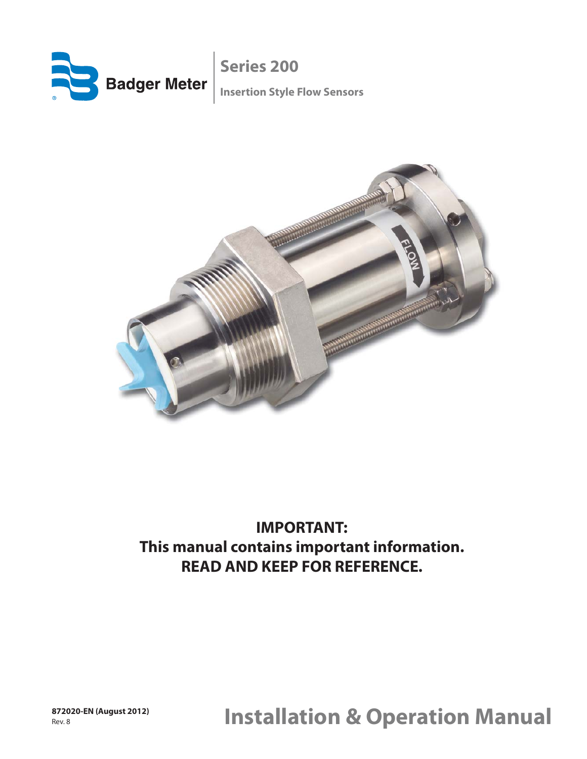

# **Series 200**

**Insertion Style Flow Sensors**



# **IMPORTANT: This manual contains important information. READ AND KEEP FOR REFERENCE.**

Rev. 8

**Installation & Operation Manual Rev.8**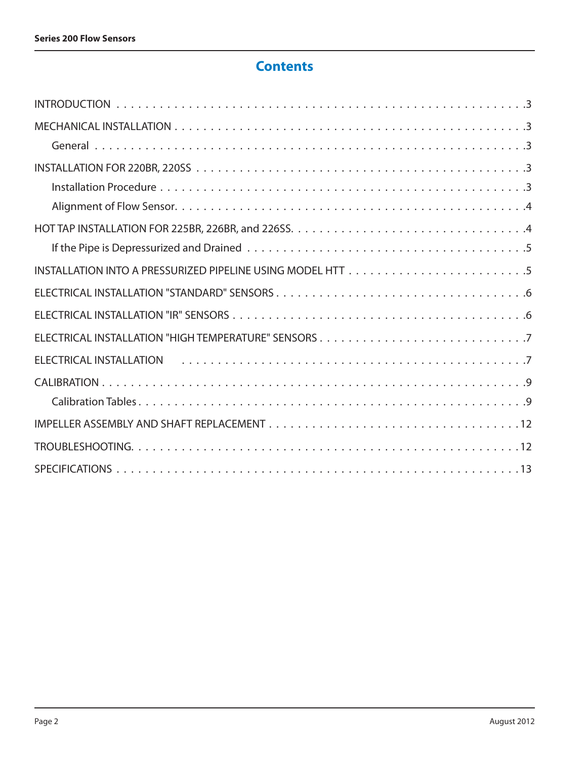### **Contents**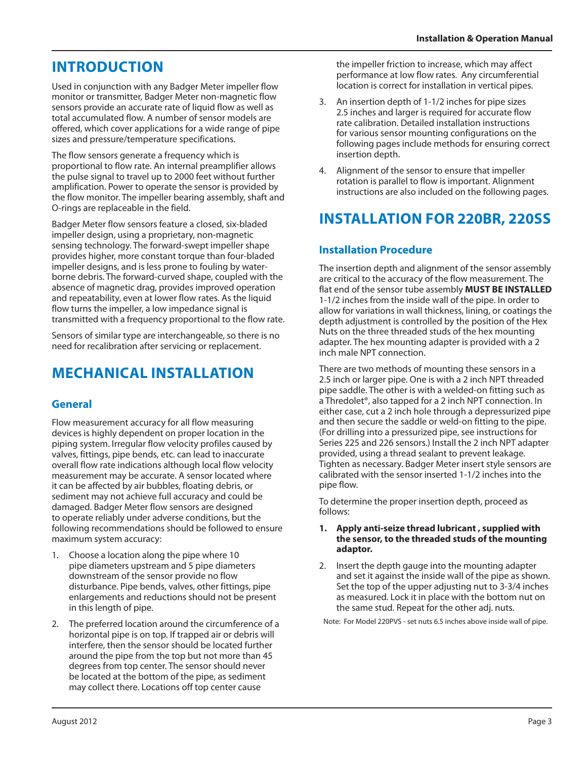## **INTRODUCTION**

Used in conjunction with any Badger Meter impeller flow monitor or transmitter, Badger Meter non-magnetic flow sensors provide an accurate rate of liquid flow as well as total accumulated flow. A number of sensor models are offered, which cover applications for a wide range of pipe sizes and pressure/temperature specifications.

The flow sensors generate a frequency which is proportional to flow rate. An internal preamplifier allows the pulse signal to travel up to 2000 feet without further amplification. Power to operate the sensor is provided by the flow monitor. The impeller bearing assembly, shaft and O-rings are replaceable in the field.

Badger Meter flow sensors feature a closed, six-bladed impeller design, using a proprietary, non-magnetic sensing technology. The forward-swept impeller shape provides higher, more constant torque than four-bladed impeller designs, and is less prone to fouling by waterborne debris. The forward-curved shape, coupled with the absence of magnetic drag, provides improved operation and repeatability, even at lower flow rates. As the liquid flow turns the impeller, a low impedance signal is transmitted with a frequency proportional to the flow rate.

Sensors of similar type are interchangeable, so there is no need for recalibration after servicing or replacement.

## **MECHANICAL INSTALLATION**

### **General**

Flow measurement accuracy for all flow measuring devices is highly dependent on proper location in the piping system. Irregular flow velocity profiles caused by valves, fittings, pipe bends, etc. can lead to inaccurate overall flow rate indications although local flow velocity measurement may be accurate. A sensor located where it can be affected by air bubbles, floating debris, or sediment may not achieve full accuracy and could be damaged. Badger Meter flow sensors are designed to operate reliably under adverse conditions, but the following recommendations should be followed to ensure maximum system accuracy:

- 1. Choose a location along the pipe where 10 pipe diameters upstream and 5 pipe diameters downstream of the sensor provide no flow disturbance. Pipe bends, valves, other fittings, pipe enlargements and reductions should not be present in this length of pipe.
- 2. The preferred location around the circumference of a horizontal pipe is on top. If trapped air or debris will interfere, then the sensor should be located further around the pipe from the top but not more than 45 degrees from top center. The sensor should never be located at the bottom of the pipe, as sediment may collect there. Locations off top center cause

the impeller friction to increase, which may affect performance at low flow rates. Any circumferential location is correct for installation in vertical pipes.

- 3. An insertion depth of 1-1/2 inches for pipe sizes 2.5 inches and larger is required for accurate flow rate calibration. Detailed installation instructions for various sensor mounting configurations on the following pages include methods for ensuring correct insertion depth.
- 4. Alignment of the sensor to ensure that impeller rotation is parallel to flow is important. Alignment instructions are also included on the following pages.

## **INSTALLATION FOR 220BR, 220SS**

### **Installation Procedure**

The insertion depth and alignment of the sensor assembly are critical to the accuracy of the flow measurement. The flat end of the sensor tube assembly **MUST BE INSTALLED**  1-1/2 inches from the inside wall of the pipe. In order to allow for variations in wall thickness, lining, or coatings the depth adjustment is controlled by the position of the Hex Nuts on the three threaded studs of the hex mounting adapter. The hex mounting adapter is provided with a 2 inch male NPT connection.

There are two methods of mounting these sensors in a 2.5 inch or larger pipe. One is with a 2 inch NPT threaded pipe saddle. The other is with a welded-on fitting such as a Thredolet®, also tapped for a 2 inch NPT connection. In either case, cut a 2 inch hole through a depressurized pipe and then secure the saddle or weld-on fitting to the pipe. (For drilling into a pressurized pipe, see instructions for Series 225 and 226 sensors.) Install the 2 inch NPT adapter provided, using a thread sealant to prevent leakage. Tighten as necessary. Badger Meter insert style sensors are calibrated with the sensor inserted 1-1/2 inches into the pipe flow.

To determine the proper insertion depth, proceed as follows:

- **1. Apply anti-seize thread lubricant , supplied with the sensor, to the threaded studs of the mounting adaptor.**
- 2. Insert the depth gauge into the mounting adapter and set it against the inside wall of the pipe as shown. Set the top of the upper adjusting nut to 3-3/4 inches as measured. Lock it in place with the bottom nut on the same stud. Repeat for the other adj. nuts.

Note: For Model 220PVS - set nuts 6.5 inches above inside wall of pipe.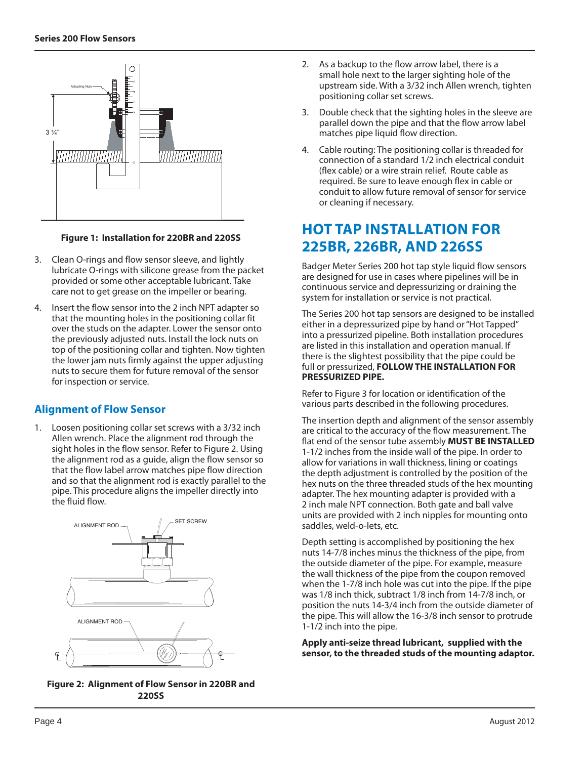

#### **Figure 1: Installation for 220BR and 220SS**

- 3. Clean O-rings and flow sensor sleeve, and lightly lubricate O-rings with silicone grease from the packet provided or some other acceptable lubricant. Take care not to get grease on the impeller or bearing.
- 4. Insert the flow sensor into the 2 inch NPT adapter so that the mounting holes in the positioning collar fit over the studs on the adapter. Lower the sensor onto the previously adjusted nuts. Install the lock nuts on top of the positioning collar and tighten. Now tighten the lower jam nuts firmly against the upper adjusting nuts to secure them for future removal of the sensor for inspection or service.

### **Alignment of Flow Sensor**

1. Loosen positioning collar set screws with a 3/32 inch Allen wrench. Place the alignment rod through the sight holes in the flow sensor. Refer to Figure 2. Using the alignment rod as a guide, align the flow sensor so that the flow label arrow matches pipe flow direction and so that the alignment rod is exactly parallel to the pipe. This procedure aligns the impeller directly into the fluid flow.



**Figure 2: Alignment of Flow Sensor in 220BR and 220SS**

- 2. As a backup to the flow arrow label, there is a small hole next to the larger sighting hole of the upstream side. With a 3/32 inch Allen wrench, tighten positioning collar set screws.
- 3. Double check that the sighting holes in the sleeve are parallel down the pipe and that the flow arrow label matches pipe liquid flow direction.
- 4. Cable routing: The positioning collar is threaded for connection of a standard 1/2 inch electrical conduit (flex cable) or a wire strain relief. Route cable as required. Be sure to leave enough flex in cable or conduit to allow future removal of sensor for service or cleaning if necessary.

### **HOT TAP INSTALLATION FOR 225BR, 226BR, AND 226SS**

Badger Meter Series 200 hot tap style liquid flow sensors are designed for use in cases where pipelines will be in continuous service and depressurizing or draining the system for installation or service is not practical.

The Series 200 hot tap sensors are designed to be installed either in a depressurized pipe by hand or "Hot Tapped" into a pressurized pipeline. Both installation procedures are listed in this installation and operation manual. If there is the slightest possibility that the pipe could be full or pressurized, **FOLLOW THE INSTALLATION FOR PRESSURIZED PIPE.**

Refer to Figure 3 for location or identification of the various parts described in the following procedures.

The insertion depth and alignment of the sensor assembly are critical to the accuracy of the flow measurement. The flat end of the sensor tube assembly **MUST BE INSTALLED** 1-1/2 inches from the inside wall of the pipe. In order to allow for variations in wall thickness, lining or coatings the depth adjustment is controlled by the position of the hex nuts on the three threaded studs of the hex mounting adapter. The hex mounting adapter is provided with a 2 inch male NPT connection. Both gate and ball valve units are provided with 2 inch nipples for mounting onto saddles, weld-o-lets, etc.

Depth setting is accomplished by positioning the hex nuts 14-7/8 inches minus the thickness of the pipe, from the outside diameter of the pipe. For example, measure the wall thickness of the pipe from the coupon removed when the 1-7/8 inch hole was cut into the pipe. If the pipe was 1/8 inch thick, subtract 1/8 inch from 14-7/8 inch, or position the nuts 14-3/4 inch from the outside diameter of the pipe. This will allow the 16-3/8 inch sensor to protrude 1-1/2 inch into the pipe.

**Apply anti-seize thread lubricant, supplied with the sensor, to the threaded studs of the mounting adaptor.**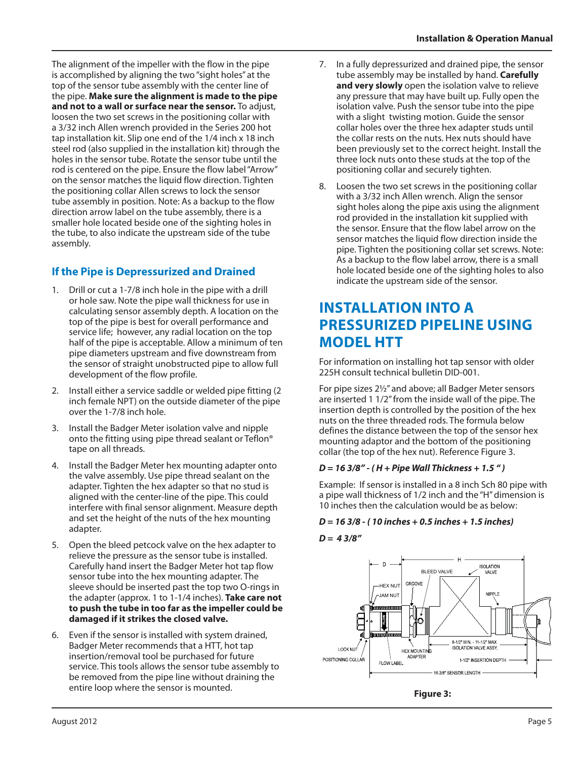The alignment of the impeller with the flow in the pipe is accomplished by aligning the two "sight holes" at the top of the sensor tube assembly with the center line of the pipe. **Make sure the alignment is made to the pipe and not to a wall or surface near the sensor.** To adjust, loosen the two set screws in the positioning collar with a 3/32 inch Allen wrench provided in the Series 200 hot tap installation kit. Slip one end of the 1/4 inch x 18 inch steel rod (also supplied in the installation kit) through the holes in the sensor tube. Rotate the sensor tube until the rod is centered on the pipe. Ensure the flow label "Arrow" on the sensor matches the liquid flow direction. Tighten the positioning collar Allen screws to lock the sensor tube assembly in position. Note: As a backup to the flow direction arrow label on the tube assembly, there is a smaller hole located beside one of the sighting holes in the tube, to also indicate the upstream side of the tube assembly.

### **If the Pipe is Depressurized and Drained**

- 1. Drill or cut a 1-7/8 inch hole in the pipe with a drill or hole saw. Note the pipe wall thickness for use in calculating sensor assembly depth. A location on the top of the pipe is best for overall performance and service life; however, any radial location on the top half of the pipe is acceptable. Allow a minimum of ten pipe diameters upstream and five downstream from the sensor of straight unobstructed pipe to allow full development of the flow profile.
- 2. Install either a service saddle or welded pipe fitting (2 inch female NPT) on the outside diameter of the pipe over the 1-7/8 inch hole.
- 3. Install the Badger Meter isolation valve and nipple onto the fitting using pipe thread sealant or Teflon® tape on all threads.
- 4. Install the Badger Meter hex mounting adapter onto the valve assembly. Use pipe thread sealant on the adapter. Tighten the hex adapter so that no stud is aligned with the center-line of the pipe. This could interfere with final sensor alignment. Measure depth and set the height of the nuts of the hex mounting adapter.
- 5. Open the bleed petcock valve on the hex adapter to relieve the pressure as the sensor tube is installed. Carefully hand insert the Badger Meter hot tap flow sensor tube into the hex mounting adapter. The sleeve should be inserted past the top two O-rings in the adapter (approx. 1 to 1-1/4 inches). **Take care not to push the tube in too far as the impeller could be damaged if it strikes the closed valve.**
- 6. Even if the sensor is installed with system drained, Badger Meter recommends that a HTT, hot tap insertion/removal tool be purchased for future service. This tools allows the sensor tube assembly to be removed from the pipe line without draining the entire loop where the sensor is mounted.
- 7. In a fully depressurized and drained pipe, the sensor tube assembly may be installed by hand. **Carefully and very slowly** open the isolation valve to relieve any pressure that may have built up. Fully open the isolation valve. Push the sensor tube into the pipe with a slight twisting motion. Guide the sensor collar holes over the three hex adapter studs until the collar rests on the nuts. Hex nuts should have been previously set to the correct height. Install the three lock nuts onto these studs at the top of the positioning collar and securely tighten.
- 8. Loosen the two set screws in the positioning collar with a 3/32 inch Allen wrench. Align the sensor sight holes along the pipe axis using the alignment rod provided in the installation kit supplied with the sensor. Ensure that the flow label arrow on the sensor matches the liquid flow direction inside the pipe. Tighten the positioning collar set screws. Note: As a backup to the flow label arrow, there is a small hole located beside one of the sighting holes to also indicate the upstream side of the sensor.

## **INSTALLATION INTO A PRESSURIZED PIPELINE USING MODEL HTT**

For information on installing hot tap sensor with older 225H consult technical bulletin DID-001.

For pipe sizes 2½" and above; all Badger Meter sensors are inserted 1 1/2" from the inside wall of the pipe. The insertion depth is controlled by the position of the hex nuts on the three threaded rods. The formula below defines the distance between the top of the sensor hex mounting adaptor and the bottom of the positioning collar (the top of the hex nut). Reference Figure 3.

### *D = 16 3/8" - ( H + Pipe Wall Thickness + 1.5 " )*

Example: If sensor is installed in a 8 inch Sch 80 pipe with a pipe wall thickness of 1/2 inch and the "H" dimension is 10 inches then the calculation would be as below:

### *D = 16 3/8 - ( 10 inches + 0.5 inches + 1.5 inches)*

#### *D = 4 3/8"*



**Figure 3:**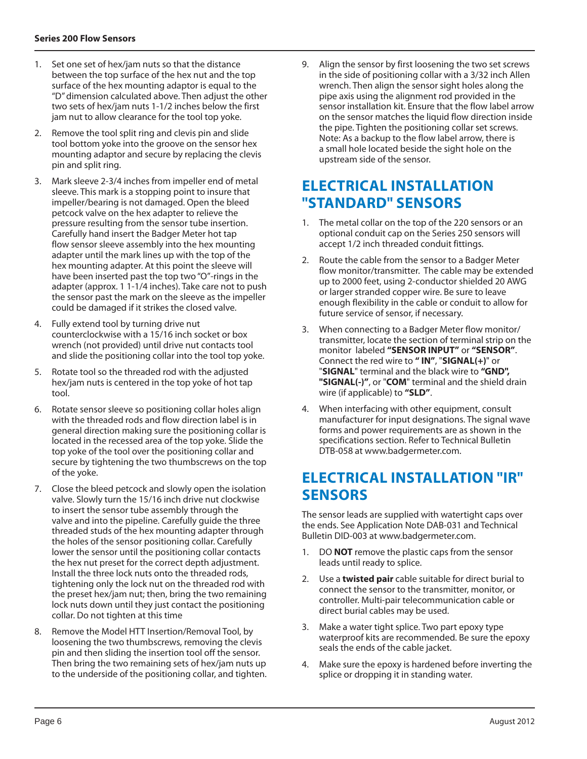- 1. Set one set of hex/jam nuts so that the distance between the top surface of the hex nut and the top surface of the hex mounting adaptor is equal to the "D" dimension calculated above. Then adjust the other two sets of hex/jam nuts 1-1/2 inches below the first jam nut to allow clearance for the tool top yoke.
- 2. Remove the tool split ring and clevis pin and slide tool bottom yoke into the groove on the sensor hex mounting adaptor and secure by replacing the clevis pin and split ring.
- 3. Mark sleeve 2-3/4 inches from impeller end of metal sleeve. This mark is a stopping point to insure that impeller/bearing is not damaged. Open the bleed petcock valve on the hex adapter to relieve the pressure resulting from the sensor tube insertion. Carefully hand insert the Badger Meter hot tap flow sensor sleeve assembly into the hex mounting adapter until the mark lines up with the top of the hex mounting adapter. At this point the sleeve will have been inserted past the top two "O"-rings in the adapter (approx. 1 1-1/4 inches). Take care not to push the sensor past the mark on the sleeve as the impeller could be damaged if it strikes the closed valve.
- 4. Fully extend tool by turning drive nut counterclockwise with a 15/16 inch socket or box wrench (not provided) until drive nut contacts tool and slide the positioning collar into the tool top yoke.
- 5. Rotate tool so the threaded rod with the adjusted hex/jam nuts is centered in the top yoke of hot tap tool.
- 6. Rotate sensor sleeve so positioning collar holes align with the threaded rods and flow direction label is in general direction making sure the positioning collar is located in the recessed area of the top yoke. Slide the top yoke of the tool over the positioning collar and secure by tightening the two thumbscrews on the top of the yoke.
- 7. Close the bleed petcock and slowly open the isolation valve. Slowly turn the 15/16 inch drive nut clockwise to insert the sensor tube assembly through the valve and into the pipeline. Carefully guide the three threaded studs of the hex mounting adapter through the holes of the sensor positioning collar. Carefully lower the sensor until the positioning collar contacts the hex nut preset for the correct depth adjustment. Install the three lock nuts onto the threaded rods, tightening only the lock nut on the threaded rod with the preset hex/jam nut; then, bring the two remaining lock nuts down until they just contact the positioning collar. Do not tighten at this time
- 8. Remove the Model HTT Insertion/Removal Tool, by loosening the two thumbscrews, removing the clevis pin and then sliding the insertion tool off the sensor. Then bring the two remaining sets of hex/jam nuts up to the underside of the positioning collar, and tighten.

9. Align the sensor by first loosening the two set screws in the side of positioning collar with a 3/32 inch Allen wrench. Then align the sensor sight holes along the pipe axis using the alignment rod provided in the sensor installation kit. Ensure that the flow label arrow on the sensor matches the liquid flow direction inside the pipe. Tighten the positioning collar set screws. Note: As a backup to the flow label arrow, there is a small hole located beside the sight hole on the upstream side of the sensor.

## **ELECTRICAL INSTALLATION "STANDARD" SENSORS**

- 1. The metal collar on the top of the 220 sensors or an optional conduit cap on the Series 250 sensors will accept 1/2 inch threaded conduit fittings.
- 2. Route the cable from the sensor to a Badger Meter flow monitor/transmitter. The cable may be extended up to 2000 feet, using 2-conductor shielded 20 AWG or larger stranded copper wire. Be sure to leave enough flexibility in the cable or conduit to allow for future service of sensor, if necessary.
- 3. When connecting to a Badger Meter flow monitor/ transmitter, locate the section of terminal strip on the monitor labeled **"SENSOR INPUT"** or **"SENSOR"**. Connect the red wire to **" IN"**, "**SIGNAL(+)**" or "**SIGNAL**" terminal and the black wire to **"GND", "SIGNAL(-)"**, or "**COM**" terminal and the shield drain wire (if applicable) to **"SLD"**.
- 4. When interfacing with other equipment, consult manufacturer for input designations. The signal wave forms and power requirements are as shown in the specifications section. Refer to Technical Bulletin DTB-058 at www.badgermeter.com.

## **ELECTRICAL INSTALLATION "IR" SENSORS**

The sensor leads are supplied with watertight caps over the ends. See Application Note DAB-031 and Technical Bulletin DID-003 at www.badgermeter.com.

- 1. DO **NOT** remove the plastic caps from the sensor leads until ready to splice.
- 2. Use a **twisted pair** cable suitable for direct burial to connect the sensor to the transmitter, monitor, or controller. Multi-pair telecommunication cable or direct burial cables may be used.
- 3. Make a water tight splice. Two part epoxy type waterproof kits are recommended. Be sure the epoxy seals the ends of the cable jacket.
- 4. Make sure the epoxy is hardened before inverting the splice or dropping it in standing water.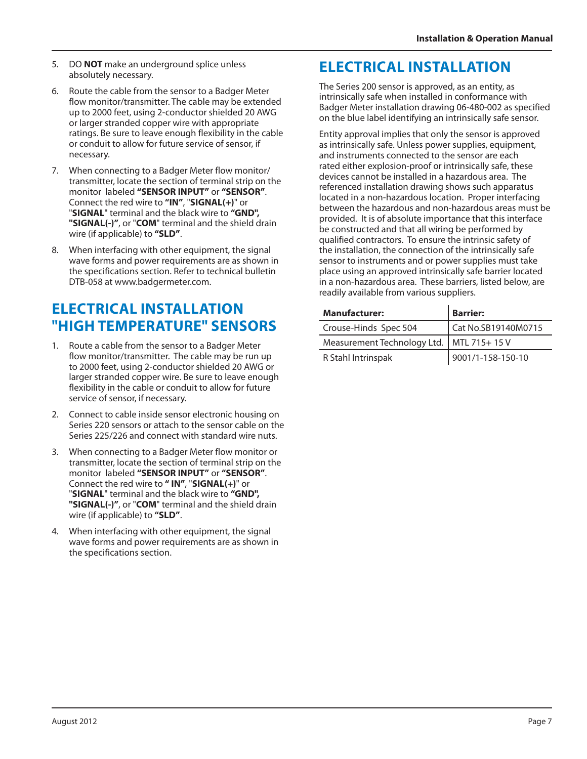- 5. DO **NOT** make an underground splice unless absolutely necessary.
- 6. Route the cable from the sensor to a Badger Meter flow monitor/transmitter. The cable may be extended up to 2000 feet, using 2-conductor shielded 20 AWG or larger stranded copper wire with appropriate ratings. Be sure to leave enough flexibility in the cable or conduit to allow for future service of sensor, if necessary.
- 7. When connecting to a Badger Meter flow monitor/ transmitter, locate the section of terminal strip on the monitor labeled **"SENSOR INPUT"** or **"SENSOR"**. Connect the red wire to **"IN"**, "**SIGNAL(+)**" or "**SIGNAL**" terminal and the black wire to **"GND", "SIGNAL(-)"**, or "**COM**" terminal and the shield drain wire (if applicable) to **"SLD"**.
- 8. When interfacing with other equipment, the signal wave forms and power requirements are as shown in the specifications section. Refer to technical bulletin DTB-058 at www.badgermeter.com.

## **ELECTRICAL INSTALLATION "HIGH TEMPERATURE" SENSORS**

- 1. Route a cable from the sensor to a Badger Meter flow monitor/transmitter. The cable may be run up to 2000 feet, using 2-conductor shielded 20 AWG or larger stranded copper wire. Be sure to leave enough flexibility in the cable or conduit to allow for future service of sensor, if necessary.
- 2. Connect to cable inside sensor electronic housing on Series 220 sensors or attach to the sensor cable on the Series 225/226 and connect with standard wire nuts.
- 3. When connecting to a Badger Meter flow monitor or transmitter, locate the section of terminal strip on the monitor labeled **"SENSOR INPUT"** or **"SENSOR"**. Connect the red wire to **" IN"**, "**SIGNAL(+)**" or "**SIGNAL**" terminal and the black wire to **"GND", "SIGNAL(-)"**, or "**COM**" terminal and the shield drain wire (if applicable) to **"SLD"**.
- 4. When interfacing with other equipment, the signal wave forms and power requirements are as shown in the specifications section.

## **ELECTRICAL INSTALLATION**

The Series 200 sensor is approved, as an entity, as intrinsically safe when installed in conformance with Badger Meter installation drawing 06-480-002 as specified on the blue label identifying an intrinsically safe sensor.

Entity approval implies that only the sensor is approved as intrinsically safe. Unless power supplies, equipment, and instruments connected to the sensor are each rated either explosion-proof or intrinsically safe, these devices cannot be installed in a hazardous area. The referenced installation drawing shows such apparatus located in a non-hazardous location. Proper interfacing between the hazardous and non-hazardous areas must be provided. It is of absolute importance that this interface be constructed and that all wiring be performed by qualified contractors. To ensure the intrinsic safety of the installation, the connection of the intrinsically safe sensor to instruments and or power supplies must take place using an approved intrinsically safe barrier located in a non-hazardous area. These barriers, listed below, are readily available from various suppliers.

| <b>Manufacturer:</b>                      | <b>Barrier:</b>     |
|-------------------------------------------|---------------------|
| Crouse-Hinds Spec 504                     | Cat No.SB19140M0715 |
| Measurement Technology Ltd.   MTL 715+15V |                     |
| R Stahl Intrinspak                        | 9001/1-158-150-10   |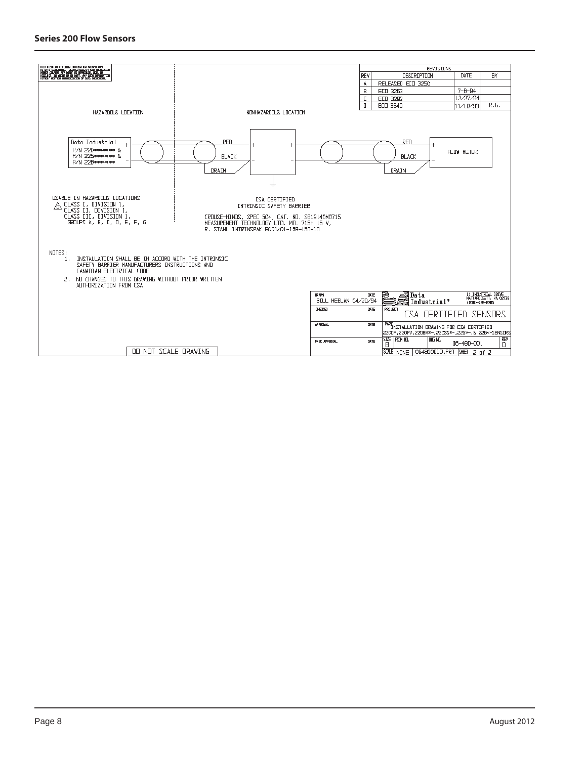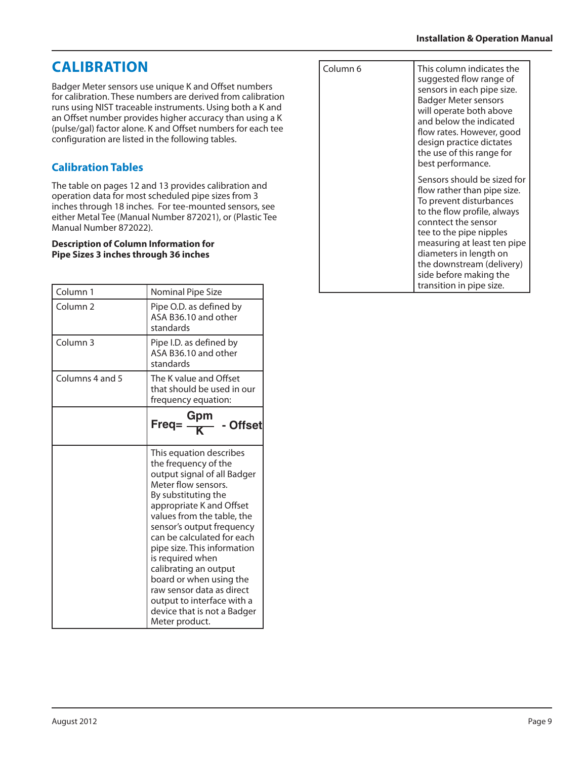## **CALIBRATION**

Badger Meter sensors use unique K and Offset numbers for calibration. These numbers are derived from calibration runs using NIST traceable instruments. Using both a K and an Offset number provides higher accuracy than using a K (pulse/gal) factor alone. K and Offset numbers for each tee configuration are listed in the following tables.

### **Calibration Tables**

The table on pages 12 and 13 provides calibration and operation data for most scheduled pipe sizes from 3 inches through 18 inches. For tee-mounted sensors, see either Metal Tee (Manual Number 872021), or (Plastic Tee Manual Number 872022).

#### **Description of Column Information for Pipe Sizes 3 inches through 36 inches**

| Column 1            | <b>Nominal Pipe Size</b>                                                                                                                                                                                                                                                                                                                                                                                                                                             |
|---------------------|----------------------------------------------------------------------------------------------------------------------------------------------------------------------------------------------------------------------------------------------------------------------------------------------------------------------------------------------------------------------------------------------------------------------------------------------------------------------|
| Column <sub>2</sub> | Pipe O.D. as defined by<br>ASA B36.10 and other<br>standards                                                                                                                                                                                                                                                                                                                                                                                                         |
| Column 3            | Pipe I.D. as defined by<br>ASA B36.10 and other<br>standards                                                                                                                                                                                                                                                                                                                                                                                                         |
| Columns 4 and 5     | The K value and Offset<br>that should be used in our<br>frequency equation:                                                                                                                                                                                                                                                                                                                                                                                          |
|                     | Gpm<br>Freq=<br>- Offset<br>$\overline{\mathbf{K}}$                                                                                                                                                                                                                                                                                                                                                                                                                  |
|                     | This equation describes<br>the frequency of the<br>output signal of all Badger<br>Meter flow sensors.<br>By substituting the<br>appropriate K and Offset<br>values from the table, the<br>sensor's output frequency<br>can be calculated for each<br>pipe size. This information<br>is required when<br>calibrating an output<br>board or when using the<br>raw sensor data as direct<br>output to interface with a<br>device that is not a Badger<br>Meter product. |

| Column 6 | This column indicates the<br>suggested flow range of<br>sensors in each pipe size.<br>Badger Meter sensors<br>will operate both above<br>and below the indicated<br>flow rates. However, good<br>design practice dictates<br>the use of this range for<br>best performance.                                        |
|----------|--------------------------------------------------------------------------------------------------------------------------------------------------------------------------------------------------------------------------------------------------------------------------------------------------------------------|
|          | Sensors should be sized for<br>flow rather than pipe size.<br>To prevent disturbances<br>to the flow profile, always<br>conntect the sensor<br>tee to the pipe nipples<br>measuring at least ten pipe<br>diameters in length on<br>the downstream (delivery)<br>side before making the<br>transition in pipe size. |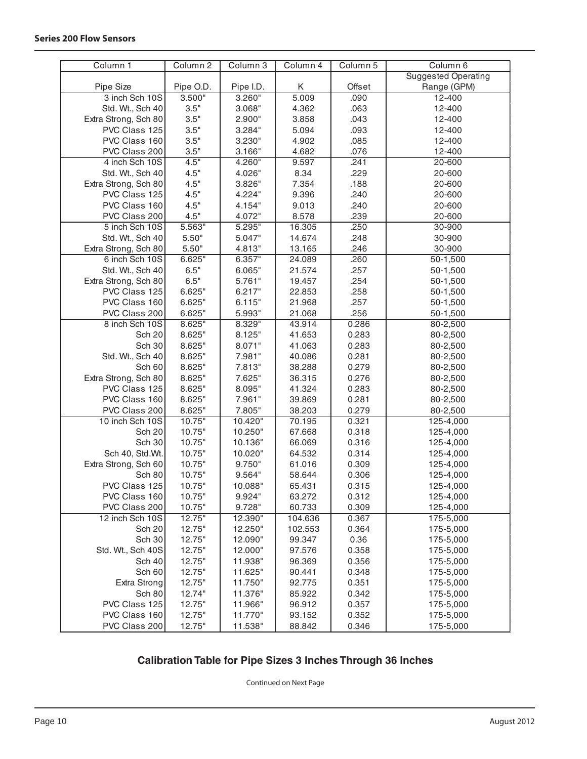| Column 1             | Column <sub>2</sub> | Column 3  | Column 4 | Column <sub>5</sub> | Column 6                   |
|----------------------|---------------------|-----------|----------|---------------------|----------------------------|
|                      |                     |           |          |                     | <b>Suggested Operating</b> |
| Pipe Size            | Pipe O.D.           | Pipe I.D. | Κ        | Offset              | Range (GPM)                |
| 3 inch Sch 10S       | 3.500"              | 3.260"    | 5.009    | .090                | 12-400                     |
| Std. Wt., Sch 40     | 3.5"                | 3.068"    | 4.362    | .063                | 12-400                     |
| Extra Strong, Sch 80 | 3.5"                | 2.900"    | 3.858    | .043                | 12-400                     |
| PVC Class 125        | 3.5"                | 3.284"    | 5.094    | .093                | 12-400                     |
| PVC Class 160        | 3.5"                | 3.230"    | 4.902    | .085                | 12-400                     |
| PVC Class 200        | 3.5"                | 3.166"    | 4.682    | .076                | 12-400                     |
| 4 inch Sch 10S       | 4.5"                | 4.260"    | 9.597    | .241                | 20-600                     |
| Std. Wt., Sch 40     | 4.5"                | 4.026"    | 8.34     | .229                | 20-600                     |
| Extra Strong, Sch 80 | 4.5"                | 3.826"    | 7.354    | .188                | 20-600                     |
| PVC Class 125        | 4.5"                | 4.224"    | 9.396    | .240                | 20-600                     |
| PVC Class 160        | 4.5"                | 4.154"    | 9.013    | .240                | 20-600                     |
| PVC Class 200        | 4.5"                | 4.072"    | 8.578    | .239                | 20-600                     |
|                      | 5.563"              | $5.295$ " |          |                     |                            |
| 5 inch Sch 10S       |                     |           | 16.305   | .250                | 30-900                     |
| Std. Wt., Sch 40     | 5.50"               | 5.047"    | 14.674   | .248                | 30-900                     |
| Extra Strong, Sch 80 | 5.50"               | 4.813"    | 13.165   | .246                | 30-900                     |
| 6 inch Sch 10S       | 6.625"              | 6.357"    | 24.089   | .260                | $50-1,500$                 |
| Std. Wt., Sch 40     | 6.5"                | 6.065"    | 21.574   | .257                | 50-1,500                   |
| Extra Strong, Sch 80 | $6.5"$              | 5.761"    | 19.457   | .254                | 50-1,500                   |
| PVC Class 125        | 6.625"              | 6.217"    | 22.853   | .258                | 50-1,500                   |
| PVC Class 160        | 6.625"              | 6.115"    | 21.968   | .257                | 50-1,500                   |
| PVC Class 200        | 6.625"              | 5.993"    | 21.068   | .256                | 50-1,500                   |
| 8 inch Sch 10S       | 8.625"              | 8.329"    | 43.914   | 0.286               | 80-2,500                   |
| <b>Sch 20</b>        | 8.625"              | 8.125"    | 41.653   | 0.283               | 80-2,500                   |
| <b>Sch 30</b>        | 8.625"              | 8.071"    | 41.063   | 0.283               | 80-2,500                   |
| Std. Wt., Sch 40     | 8.625"              | 7.981"    | 40.086   | 0.281               | 80-2,500                   |
| Sch 60               | 8.625"              | 7.813"    | 38.288   | 0.279               | 80-2,500                   |
| Extra Strong, Sch 80 | 8.625"              | 7.625"    | 36.315   | 0.276               | 80-2,500                   |
| PVC Class 125        | 8.625"              | 8.095"    | 41.324   | 0.283               | 80-2,500                   |
| PVC Class 160        | 8.625"              | 7.961"    | 39.869   | 0.281               | 80-2,500                   |
| PVC Class 200        | 8.625"              | 7.805"    | 38.203   | 0.279               | 80-2,500                   |
| 10 inch Sch 10S      | 10.75"              | 10.420"   | 70.195   | 0.321               | 125-4,000                  |
| <b>Sch 20</b>        | 10.75"              | 10.250"   | 67.668   | 0.318               | 125-4,000                  |
| <b>Sch 30</b>        | 10.75"              | 10.136"   | 66.069   | 0.316               | 125-4,000                  |
| Sch 40, Std.Wt.      | 10.75"              | 10.020"   | 64.532   | 0.314               | 125-4,000                  |
| Extra Strong, Sch 60 | 10.75"              | 9.750"    | 61.016   | 0.309               | 125-4,000                  |
| Sch 80               | 10.75"              | 9.564"    | 58.644   | 0.306               | 125-4,000                  |
| PVC Class 125        | 10.75"              | 10.088"   | 65.431   | 0.315               | 125-4,000                  |
| PVC Class 160        | 10.75"              | 9.924"    | 63.272   | 0.312               | 125-4,000                  |
| PVC Class 200        | 10.75"              | 9.728"    | 60.733   | 0.309               | 125-4,000                  |
| 12 inch Sch 10S      | 12.75"              | 12.390"   | 104.636  | 0.367               | 175-5,000                  |
| <b>Sch 20</b>        | 12.75"              | 12.250"   | 102.553  | 0.364               | 175-5,000                  |
| <b>Sch 30</b>        | 12.75"              | 12.090"   | 99.347   | 0.36                | 175-5,000                  |
| Std. Wt., Sch 40S    | 12.75"              | 12.000"   | 97.576   | 0.358               | 175-5,000                  |
| <b>Sch 40</b>        | 12.75"              | 11.938"   | 96.369   | 0.356               | 175-5,000                  |
| Sch 60               | 12.75"              | 11.625"   | 90.441   | 0.348               | 175-5,000                  |
| <b>Extra Strong</b>  |                     |           |          | 0.351               |                            |
|                      | 12.75"              | 11.750"   | 92.775   |                     | 175-5,000                  |
| Sch 80               | 12.74"              | 11.376"   | 85.922   | 0.342               | 175-5,000                  |
| PVC Class 125        | 12.75"              | 11.966"   | 96.912   | 0.357               | 175-5,000                  |
| PVC Class 160        | 12.75"              | 11.770"   | 93.152   | 0.352               | 175-5,000                  |
| PVC Class 200        | 12.75"              | 11.538"   | 88.842   | 0.346               | 175-5,000                  |

### **Calibration Table for Pipe Sizes 3 Inches Through 36 Inches**

Continued on Next Page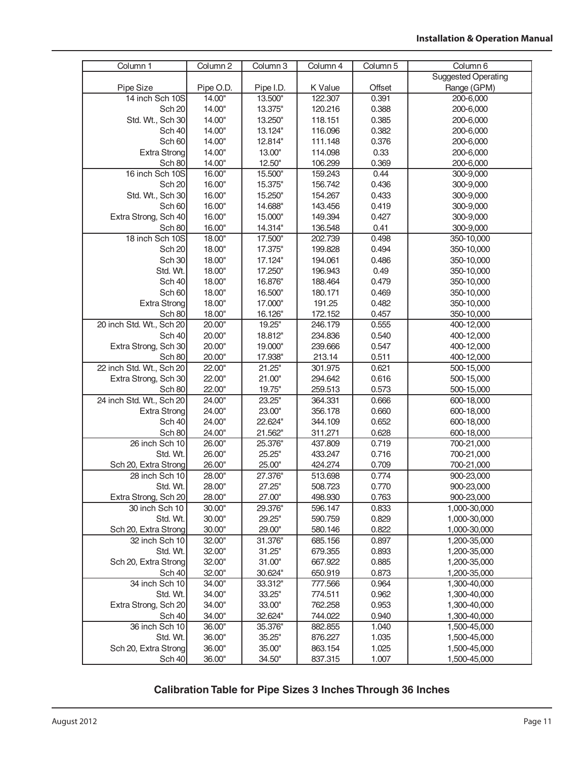| Column 1                 | Column <sub>2</sub> | Column 3  | Column 4 | Column 5 | Column 6                   |
|--------------------------|---------------------|-----------|----------|----------|----------------------------|
|                          |                     |           |          |          | <b>Suggested Operating</b> |
| Pipe Size                | Pipe O.D.           | Pipe I.D. | K Value  | Offset   | Range (GPM)                |
| 14 inch Sch 10S          | $14.00$ "           | 13.500"   | 122.307  | 0.391    | 200-6,000                  |
| Sch 20                   | 14.00"              | 13.375"   | 120.216  | 0.388    | 200-6,000                  |
| Std. Wt., Sch 30         | 14.00"              | 13.250"   | 118.151  | 0.385    | 200-6,000                  |
| Sch 40                   | 14.00"              | 13.124"   | 116.096  | 0.382    | 200-6,000                  |
| Sch <sub>60</sub>        | 14.00"              | 12.814"   | 111.148  | 0.376    | 200-6,000                  |
| <b>Extra Strong</b>      | 14.00"              | 13.00"    | 114.098  | 0.33     | 200-6,000                  |
| Sch 80                   | 14.00"              | 12.50"    | 106.299  | 0.369    | 200-6,000                  |
| 16 inch Sch 10S          | 16.00"              | 15.500"   | 159.243  | 0.44     | 300-9,000                  |
| Sch 20                   | 16.00"              | 15.375"   | 156.742  | 0.436    | 300-9,000                  |
| Std. Wt., Sch 30         | 16.00"              | 15.250"   | 154.267  | 0.433    | 300-9,000                  |
| Sch <sub>60</sub>        | 16.00"              | 14.688"   | 143.456  | 0.419    | 300-9,000                  |
| Extra Strong, Sch 40     | 16.00"              | 15.000"   | 149.394  | 0.427    | 300-9,000                  |
| Sch 80                   | 16.00"              | 14.314"   | 136.548  | 0.41     | 300-9,000                  |
| 18 inch Sch 10S          | 18.00"              | 17.500"   | 202.739  | 0.498    | 350-10,000                 |
| Sch 20                   | 18.00"              | 17.375"   | 199.828  | 0.494    | 350-10,000                 |
| Sch 30                   | 18.00"              | 17.124"   | 194.061  | 0.486    | 350-10,000                 |
| Std. Wt.                 | 18.00"              | 17.250"   | 196.943  | 0.49     | 350-10,000                 |
| Sch 40                   | 18.00"              | 16.876"   | 188.464  | 0.479    | 350-10,000                 |
| Sch 60                   | 18.00"              | 16.500"   | 180.171  | 0.469    | 350-10,000                 |
| <b>Extra Strong</b>      | 18.00"              |           |          | 0.482    |                            |
|                          |                     | 17.000"   | 191.25   |          | 350-10,000                 |
| Sch 80                   | 18.00"              | 16.126"   | 172.152  | 0.457    | 350-10,000                 |
| 20 inch Std. Wt., Sch 20 | $20.00$ "           | 19.25"    | 246.179  | 0.555    | 400-12,000                 |
| Sch 40                   | 20.00"              | 18.812"   | 234.836  | 0.540    | 400-12,000                 |
| Extra Strong, Sch 30     | 20.00"              | 19.000"   | 239.666  | 0.547    | 400-12,000                 |
| Sch 80                   | 20.00"              | 17.938"   | 213.14   | 0.511    | 400-12,000                 |
| 22 inch Std. Wt., Sch 20 | $22.00$ "           | 21.25"    | 301.975  | 0.621    | 500-15,000                 |
| Extra Strong, Sch 30     | 22.00"              | 21.00"    | 294.642  | 0.616    | 500-15,000                 |
| Sch 80                   | 22.00"              | 19.75"    | 259.513  | 0.573    | 500-15,000                 |
| 24 inch Std. Wt., Sch 20 | 24.00"              | 23.25"    | 364.331  | 0.666    | 600-18,000                 |
| <b>Extra Strong</b>      | 24.00"              | 23.00"    | 356.178  | 0.660    | 600-18,000                 |
| Sch 40                   | 24.00"              | 22.624"   | 344.109  | 0.652    | 600-18,000                 |
| Sch 80                   | 24.00"              | 21.562"   | 311.271  | 0.628    | 600-18,000                 |
| 26 inch Sch 10           | 26.00"              | 25.376"   | 437.809  | 0.719    | 700-21,000                 |
| Std. Wt.                 | 26.00"              | 25.25"    | 433.247  | 0.716    | 700-21,000                 |
| Sch 20, Extra Strong     | 26.00"              | 25.00"    | 424.274  | 0.709    | 700-21,000                 |
| 28 inch Sch 10           | 28.00"              | 27.376"   | 513.698  | 0.774    | 900-23,000                 |
| Std. Wt.                 | 28.00"              | 27.25"    | 508.723  | 0.770    | 900-23,000                 |
| Extra Strong, Sch 20     | 28.00"              | 27.00"    | 498.930  | 0.763    | 900-23,000                 |
| 30 inch Sch 10           | 30.00"              | 29.376"   | 596.147  | 0.833    | 1,000-30,000               |
| Std. Wt.                 | 30.00"              | 29.25"    | 590.759  | 0.829    | 1,000-30,000               |
| Sch 20, Extra Strong     | 30.00"              | 29.00"    | 580.146  | 0.822    | 1,000-30,000               |
| 32 inch Sch 10           | 32.00"              | 31.376"   | 685.156  | 0.897    | 1,200-35,000               |
| Std. Wt.                 | 32.00"              | 31.25"    | 679.355  | 0.893    | 1,200-35,000               |
| Sch 20, Extra Strong     | 32.00"              | 31.00"    | 667.922  | 0.885    | 1,200-35,000               |
| Sch 40                   | 32.00"              | 30.624"   | 650.919  | 0.873    | 1,200-35,000               |
| 34 inch Sch 10           | 34.00"              | 33.312"   | 777.566  | 0.964    | 1,300-40,000               |
| Std. Wt.                 | 34.00"              | 33.25"    | 774.511  | 0.962    | 1,300-40,000               |
| Extra Strong, Sch 20     | 34.00"              | 33.00"    | 762.258  | 0.953    | 1,300-40,000               |
| Sch 40                   | 34.00"              | 32.624"   | 744.022  | 0.940    | 1,300-40,000               |
| 36 inch Sch 10           | 36.00"              | 35.376"   | 882.855  | 1.040    | 1,500-45,000               |
| Std. Wt.                 | 36.00"              | 35.25"    | 876.227  | 1.035    | 1,500-45,000               |
| Sch 20, Extra Strong     | 36.00"              | 35.00"    | 863.154  | 1.025    | 1,500-45,000               |
|                          |                     |           |          |          |                            |
| Sch 40                   | 36.00"              | 34.50"    | 837.315  | 1.007    | 1,500-45,000               |

### **Calibration Table for Pipe Sizes 3 Inches Through 36 Inches**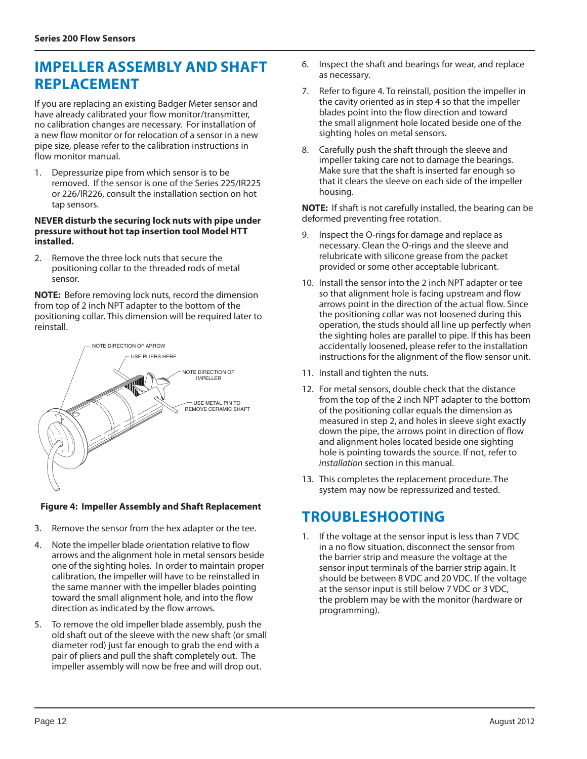## **IMPELLER ASSEMBLY AND SHAFT REPLACEMENT**

If you are replacing an existing Badger Meter sensor and have already calibrated your flow monitor/transmitter, no calibration changes are necessary. For installation of a new flow monitor or for relocation of a sensor in a new pipe size, please refer to the calibration instructions in flow monitor manual.

1. Depressurize pipe from which sensor is to be removed. If the sensor is one of the Series 225/IR225 or 226/IR226, consult the installation section on hot tap sensors.

#### **NEVER disturb the securing lock nuts with pipe under pressure without hot tap insertion tool Model HTT installed.**

2. Remove the three lock nuts that secure the positioning collar to the threaded rods of metal sensor.

**NOTE:** Before removing lock nuts, record the dimension from top of 2 inch NPT adapter to the bottom of the positioning collar. This dimension will be required later to reinstall.



#### **Figure 4: Impeller Assembly and Shaft Replacement**

- 3. Remove the sensor from the hex adapter or the tee.
- 4. Note the impeller blade orientation relative to flow arrows and the alignment hole in metal sensors beside one of the sighting holes. In order to maintain proper calibration, the impeller will have to be reinstalled in the same manner with the impeller blades pointing toward the small alignment hole, and into the flow direction as indicated by the flow arrows.
- 5. To remove the old impeller blade assembly, push the old shaft out of the sleeve with the new shaft (or small diameter rod) just far enough to grab the end with a pair of pliers and pull the shaft completely out. The impeller assembly will now be free and will drop out.
- 6. Inspect the shaft and bearings for wear, and replace as necessary.
- 7. Refer to figure 4. To reinstall, position the impeller in the cavity oriented as in step 4 so that the impeller blades point into the flow direction and toward the small alignment hole located beside one of the sighting holes on metal sensors.
- 8. Carefully push the shaft through the sleeve and impeller taking care not to damage the bearings. Make sure that the shaft is inserted far enough so that it clears the sleeve on each side of the impeller housing.

**NOTE:** If shaft is not carefully installed, the bearing can be deformed preventing free rotation.

- 9. Inspect the O-rings for damage and replace as necessary. Clean the O-rings and the sleeve and relubricate with silicone grease from the packet provided or some other acceptable lubricant.
- 10. Install the sensor into the 2 inch NPT adapter or tee so that alignment hole is facing upstream and flow arrows point in the direction of the actual flow. Since the positioning collar was not loosened during this operation, the studs should all line up perfectly when the sighting holes are parallel to pipe. If this has been accidentally loosened, please refer to the installation instructions for the alignment of the flow sensor unit.
- 11. Install and tighten the nuts.
- 12. For metal sensors, double check that the distance from the top of the 2 inch NPT adapter to the bottom of the positioning collar equals the dimension as measured in step 2, and holes in sleeve sight exactly down the pipe, the arrows point in direction of flow and alignment holes located beside one sighting hole is pointing towards the source. If not, refer to *installation* section in this manual.
- 13. This completes the replacement procedure. The system may now be repressurized and tested.

### **TROUBLESHOOTING**

1. If the voltage at the sensor input is less than 7 VDC in a no flow situation, disconnect the sensor from the barrier strip and measure the voltage at the sensor input terminals of the barrier strip again. It should be between 8 VDC and 20 VDC. If the voltage at the sensor input is still below 7 VDC or 3 VDC, the problem may be with the monitor (hardware or programming).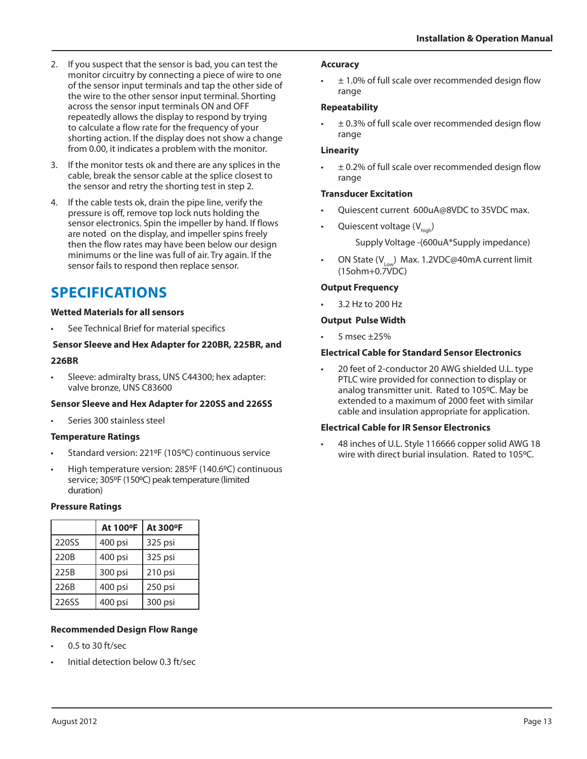- 2. If you suspect that the sensor is bad, you can test the monitor circuitry by connecting a piece of wire to one of the sensor input terminals and tap the other side of the wire to the other sensor input terminal. Shorting across the sensor input terminals ON and OFF repeatedly allows the display to respond by trying to calculate a flow rate for the frequency of your shorting action. If the display does not show a change from 0.00, it indicates a problem with the monitor.
- 3. If the monitor tests ok and there are any splices in the cable, break the sensor cable at the splice closest to the sensor and retry the shorting test in step 2.
- 4. If the cable tests ok, drain the pipe line, verify the pressure is off, remove top lock nuts holding the sensor electronics. Spin the impeller by hand. If flows are noted on the display, and impeller spins freely then the flow rates may have been below our design minimums or the line was full of air. Try again. If the sensor fails to respond then replace sensor.

# **SPECIFICATIONS**

### **Wetted Materials for all sensors**

• See Technical Brief for material specifics

### **Sensor Sleeve and Hex Adapter for 220BR, 225BR, and**

#### **226BR**

Sleeve: admiralty brass, UNS C44300; hex adapter: valve bronze, UNS C83600

#### **Sensor Sleeve and Hex Adapter for 220SS and 226SS**

Series 300 stainless steel

### **Temperature Ratings**

- Standard version: 221ºF (105ºC) continuous service
- High temperature version: 285ºF (140.6ºC) continuous service; 305ºF (150ºC) peak temperature (limited duration)

#### **Pressure Ratings**

| 400 psi | 325 psi |
|---------|---------|
| 400 psi | 325 psi |
| 300 psi | 210 psi |
| 400 psi | 250 psi |
| 400 psi | 300 psi |
|         |         |

### **Recommended Design Flow Range**

- 0.5 to 30 ft/sec
- Initial detection below 0.3 ft/sec

### **Accuracy**

 $\pm$  1.0% of full scale over recommended design flow range

### **Repeatability**

 $\pm$  0.3% of full scale over recommended design flow range

#### **Linearity**

 $\pm$  0.2% of full scale over recommended design flow range

### **Transducer Excitation**

- Quiescent current 600uA@8VDC to 35VDC max.
- Quiescent voltage  $(V_{\text{high}})$

Supply Voltage -(600uA\*Supply impedance)

ON State  $(V_{\text{low}})$  Max. 1.2VDC@40mA current limit (15ohm+0.7VDC)

### **Output Frequency**

• 3.2 Hz to 200 Hz

### **Output Pulse Width**

• 5 msec ±25%

### **Electrical Cable for Standard Sensor Electronics**

• 20 feet of 2-conductor 20 AWG shielded U.L. type PTLC wire provided for connection to display or analog transmitter unit. Rated to 105°C. May be extended to a maximum of 2000 feet with similar cable and insulation appropriate for application.

### **Electrical Cable for IR Sensor Electronics**

• 48 inches of U.L. Style 116666 copper solid AWG 18 wire with direct burial insulation. Rated to 105°C.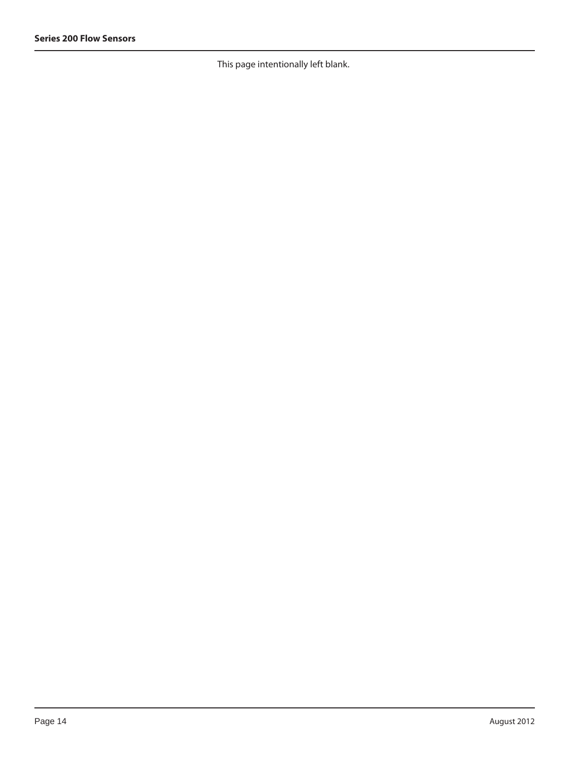This page intentionally left blank.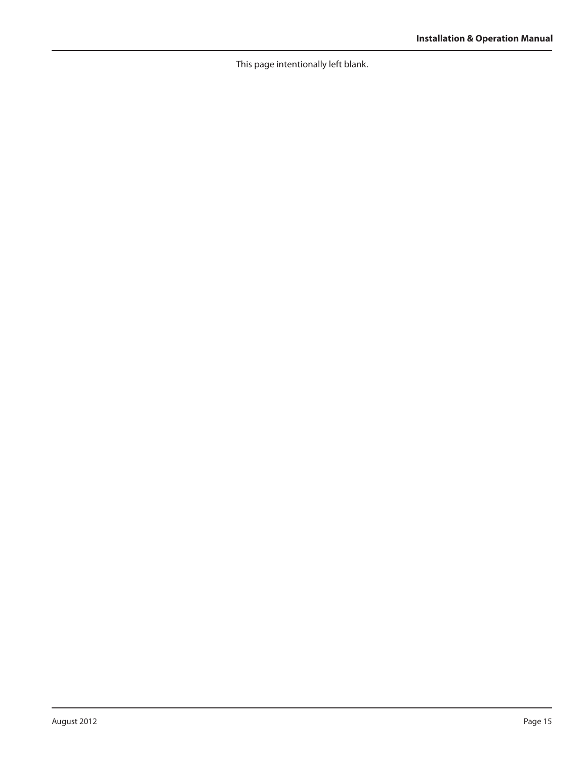This page intentionally left blank.